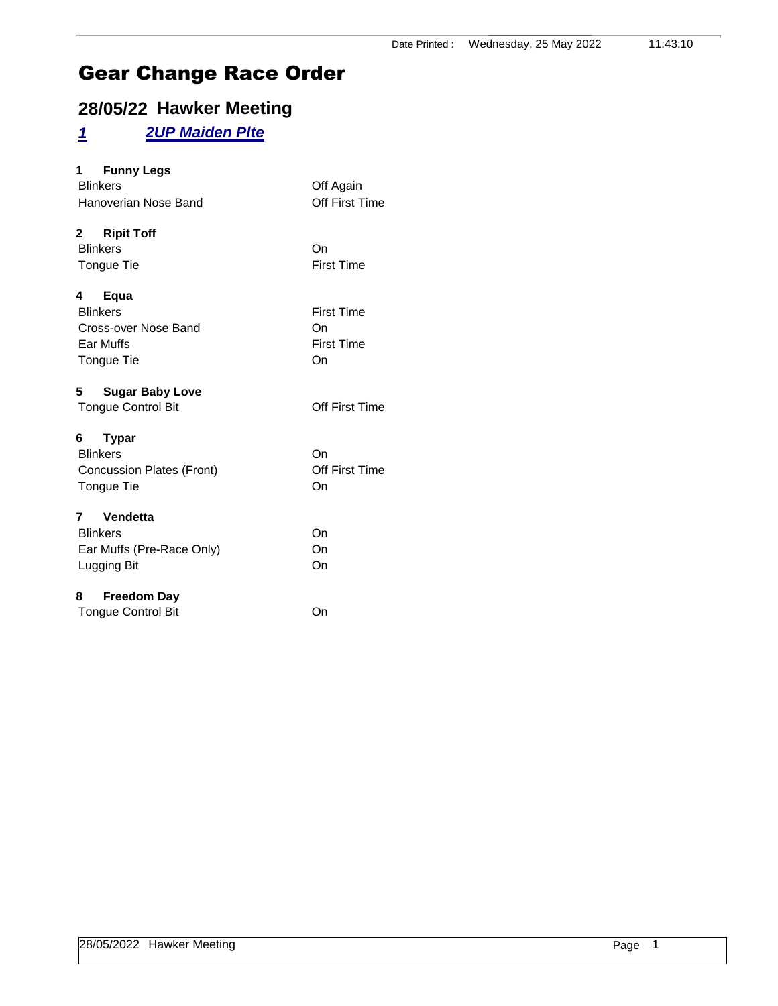### **28/05/22 Hawker Meeting**

#### *1 2UP Maiden Plte*

| 1 Funny Legs<br><b>Blinkers</b><br>Hanoverian Nose Band                         | Off Again<br>Off First Time                        |
|---------------------------------------------------------------------------------|----------------------------------------------------|
| 2 Ripit Toff<br><b>Blinkers</b><br>Tongue Tie                                   | On<br><b>First Time</b>                            |
| Equa<br>4<br><b>Blinkers</b><br>Cross-over Nose Band<br>Ear Muffs<br>Tongue Tie | <b>First Time</b><br>On<br><b>First Time</b><br>On |
| 5<br><b>Sugar Baby Love</b><br><b>Tongue Control Bit</b>                        | Off First Time                                     |
| <b>Typar</b><br><b>Blinkers</b><br>Concussion Plates (Front)<br>Tongue Tie      | On<br>Off First Time<br>On                         |
| 7 Vendetta<br><b>Blinkers</b><br>Ear Muffs (Pre-Race Only)<br>Lugging Bit       | On<br>On<br>On                                     |
| Freedom Day<br>8<br><b>Tongue Control Bit</b>                                   | On                                                 |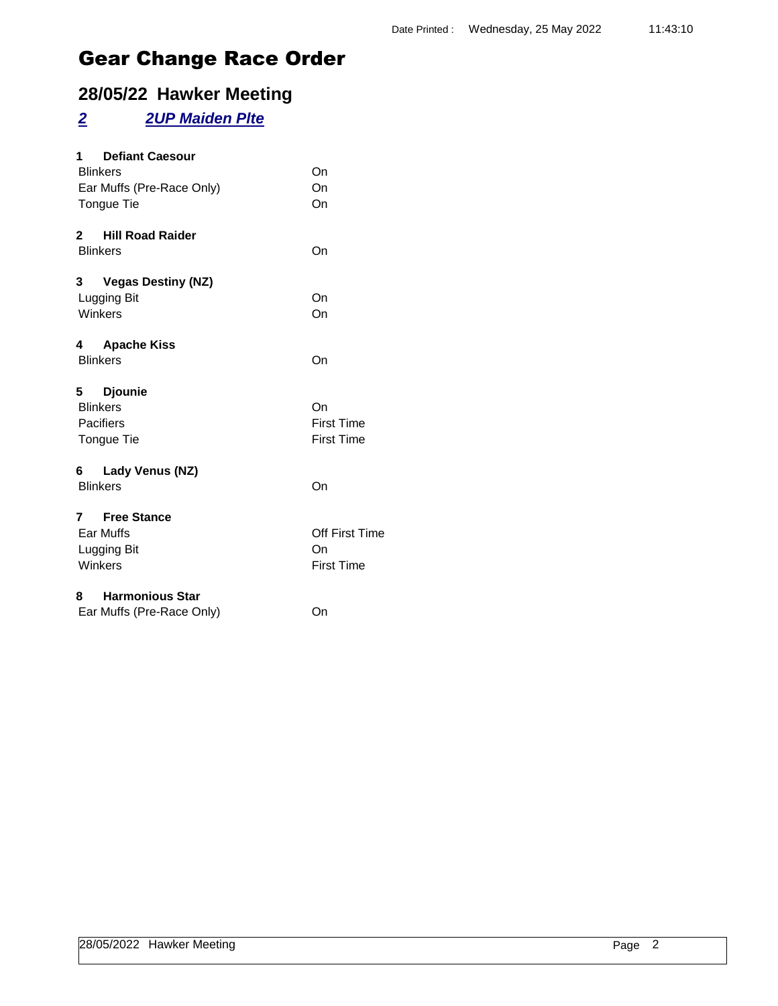### **28/05/22 Hawker Meeting**

### *2 2UP Maiden Plte*

| <b>Defiant Caesour</b><br>1<br><b>Blinkers</b><br>Ear Muffs (Pre-Race Only)<br>Tongue Tie | On<br>On<br>On                                   |
|-------------------------------------------------------------------------------------------|--------------------------------------------------|
| 2 Hill Road Raider<br><b>Blinkers</b>                                                     | On                                               |
| 3<br><b>Vegas Destiny (NZ)</b><br>Lugging Bit<br>Winkers                                  | On<br>On                                         |
| <b>Apache Kiss</b><br>4<br><b>Blinkers</b>                                                | On                                               |
| 5 Djounie<br><b>Blinkers</b><br>Pacifiers<br>Tongue Tie                                   | On<br><b>First Time</b><br><b>First Time</b>     |
| 6 Lady Venus (NZ)<br><b>Blinkers</b>                                                      | On                                               |
| 7 Free Stance<br>Ear Muffs<br>Lugging Bit<br>Winkers                                      | <b>Off First Time</b><br>On<br><b>First Time</b> |
| 8 Harmonious Star<br>Ear Muffs (Pre-Race Only)                                            | On                                               |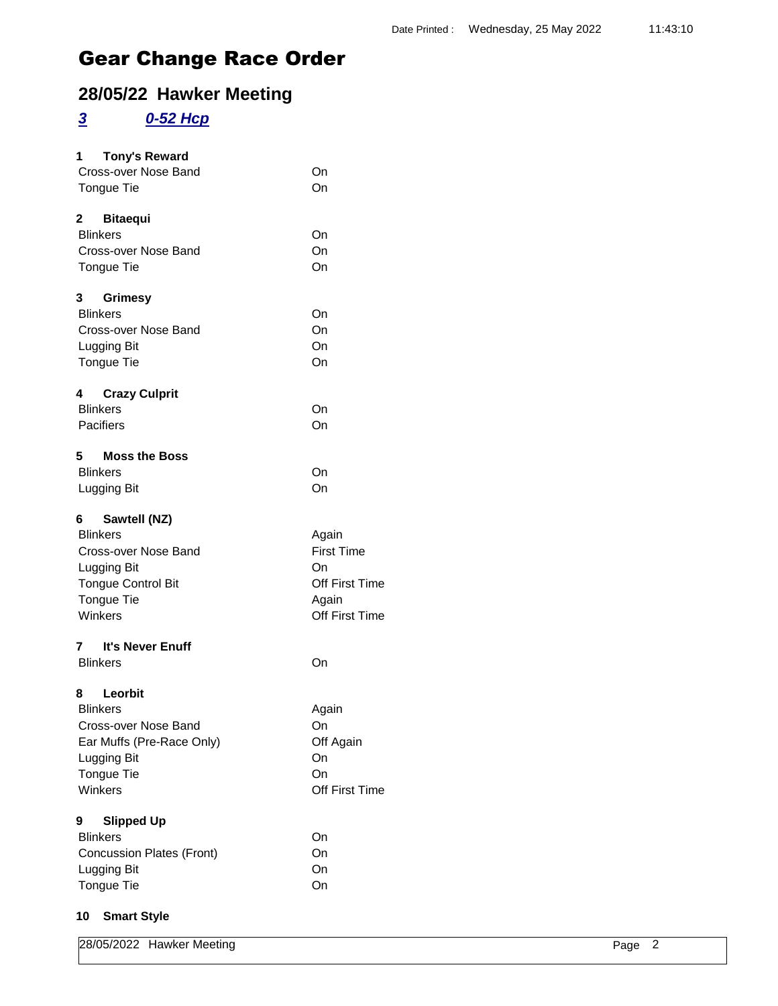### **28/05/22 Hawker Meeting**

#### *3 0-52 Hcp*

| <b>Tony's Reward</b><br>1<br>Cross-over Nose Band<br><b>Tongue Tie</b>                                                                     | On<br>On                                                                      |
|--------------------------------------------------------------------------------------------------------------------------------------------|-------------------------------------------------------------------------------|
| 2 Bitaequi<br><b>Blinkers</b><br>Cross-over Nose Band<br>Tongue Tie                                                                        | On<br>On<br>On                                                                |
| 3<br><b>Grimesy</b><br><b>Blinkers</b><br>Cross-over Nose Band<br>Lugging Bit<br>Tongue Tie                                                | On<br>On<br>On<br>On                                                          |
| <b>Crazy Culprit</b><br>4<br><b>Blinkers</b><br>Pacifiers                                                                                  | On<br>On                                                                      |
| <b>Moss the Boss</b><br>5<br><b>Blinkers</b><br>Lugging Bit                                                                                | On<br>On                                                                      |
| 6 —<br>Sawtell (NZ)<br><b>Blinkers</b><br>Cross-over Nose Band<br>Lugging Bit<br><b>Tongue Control Bit</b><br><b>Tongue Tie</b><br>Winkers | Again<br><b>First Time</b><br>On<br>Off First Time<br>Again<br>Off First Time |
| 7 It's Never Enuff<br><b>Blinkers</b>                                                                                                      | On                                                                            |
| Leorbit<br>8<br><b>Blinkers</b><br>Cross-over Nose Band<br>Ear Muffs (Pre-Race Only)<br>Lugging Bit<br>Tongue Tie<br>Winkers               | Again<br>On<br>Off Again<br>On<br>On<br>Off First Time                        |
| 9<br><b>Slipped Up</b><br><b>Blinkers</b><br><b>Concussion Plates (Front)</b><br>Lugging Bit<br>Tongue Tie                                 | On<br>On<br>On<br>On                                                          |

#### **10 Smart Style**

|  | 28/05/2022 Hawker Meeting | $P$ age<br>╯ |  |
|--|---------------------------|--------------|--|
|--|---------------------------|--------------|--|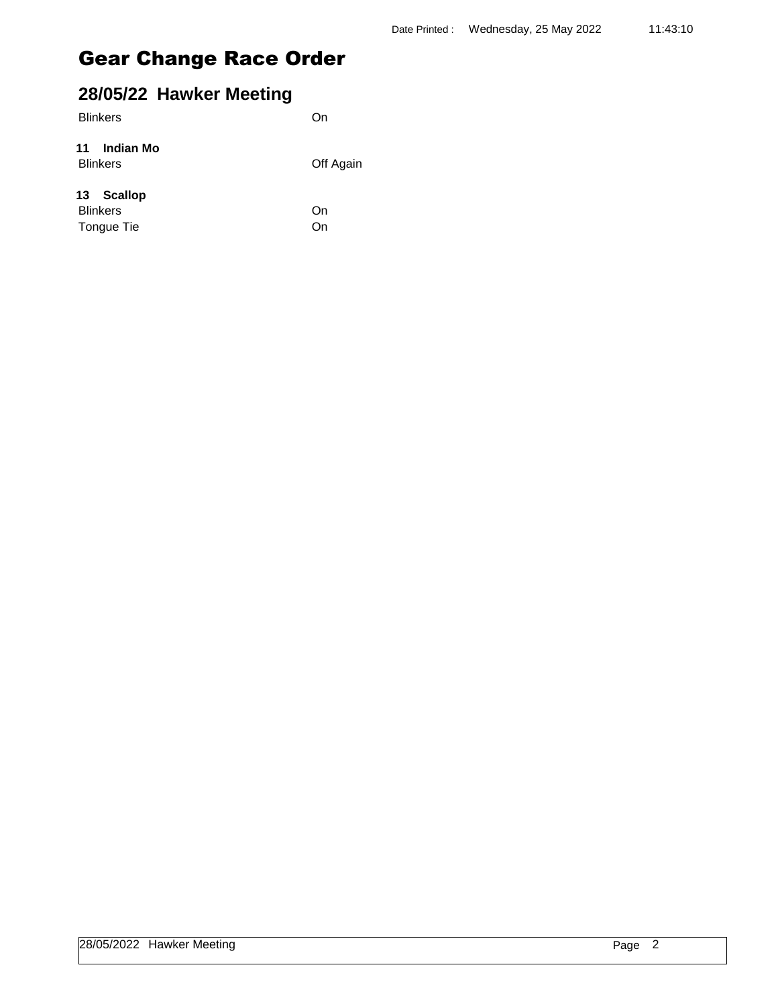| 28/05/22 Hawker Meeting                     |           |
|---------------------------------------------|-----------|
| <b>Blinkers</b>                             | On        |
| Indian Mo<br>11<br><b>Blinkers</b>          | Off Again |
| 13 Scallop<br><b>Blinkers</b><br>Tongue Tie | On<br>Ωn  |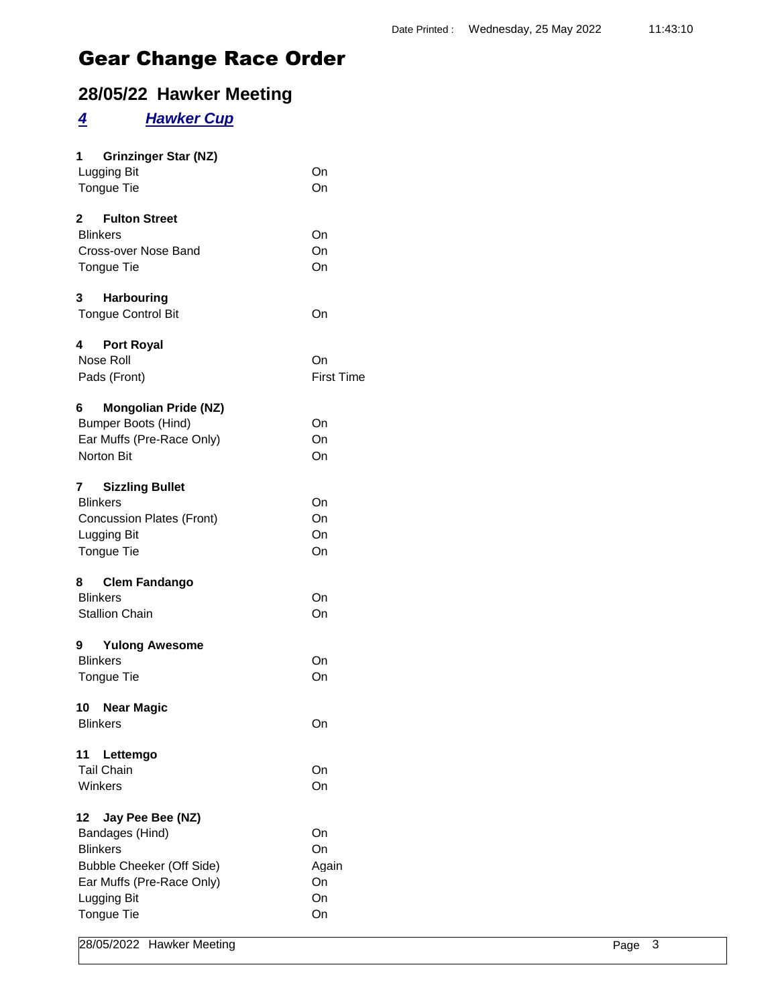### **28/05/22 Hawker Meeting**

#### *4 Hawker Cup*

| $1 \quad$<br><b>Grinzinger Star (NZ)</b><br><b>Lugging Bit</b><br>Tongue Tie                                                                        | On<br>On                            |
|-----------------------------------------------------------------------------------------------------------------------------------------------------|-------------------------------------|
| 2 Fulton Street<br><b>Blinkers</b><br>Cross-over Nose Band<br>Tongue Tie                                                                            | On<br>On<br>On                      |
| 3 Harbouring<br><b>Tongue Control Bit</b>                                                                                                           | On                                  |
| <b>Port Royal</b><br>4<br>Nose Roll<br>Pads (Front)                                                                                                 | On<br><b>First Time</b>             |
| <b>Mongolian Pride (NZ)</b><br>6<br><b>Bumper Boots (Hind)</b><br>Ear Muffs (Pre-Race Only)<br>Norton Bit                                           | On<br>On<br>On                      |
| <b>Sizzling Bullet</b><br>7<br><b>Blinkers</b><br><b>Concussion Plates (Front)</b><br>Lugging Bit<br>Tongue Tie                                     | On<br>On<br>On<br>On                |
| 8 Clem Fandango<br><b>Blinkers</b><br><b>Stallion Chain</b>                                                                                         | On<br>On                            |
| 9 Yulong Awesome<br><b>Blinkers</b><br>Tongue Tie                                                                                                   | On<br>On                            |
| 10 Near Magic<br><b>Blinkers</b>                                                                                                                    | On                                  |
| 11<br>Lettemgo<br><b>Tail Chain</b><br>Winkers                                                                                                      | On<br>On                            |
| 12<br>Jay Pee Bee (NZ)<br>Bandages (Hind)<br><b>Blinkers</b><br>Bubble Cheeker (Off Side)<br>Ear Muffs (Pre-Race Only)<br>Lugging Bit<br>Tongue Tie | On<br>On<br>Again<br>On<br>On<br>On |
|                                                                                                                                                     |                                     |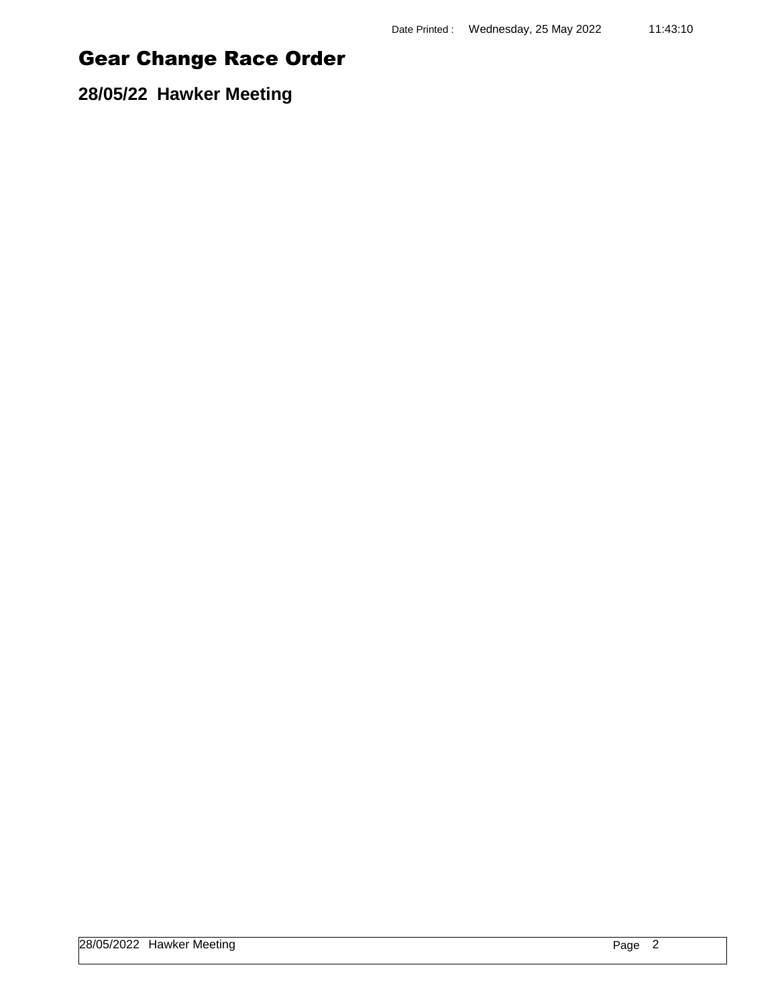**28/05/22 Hawker Meeting**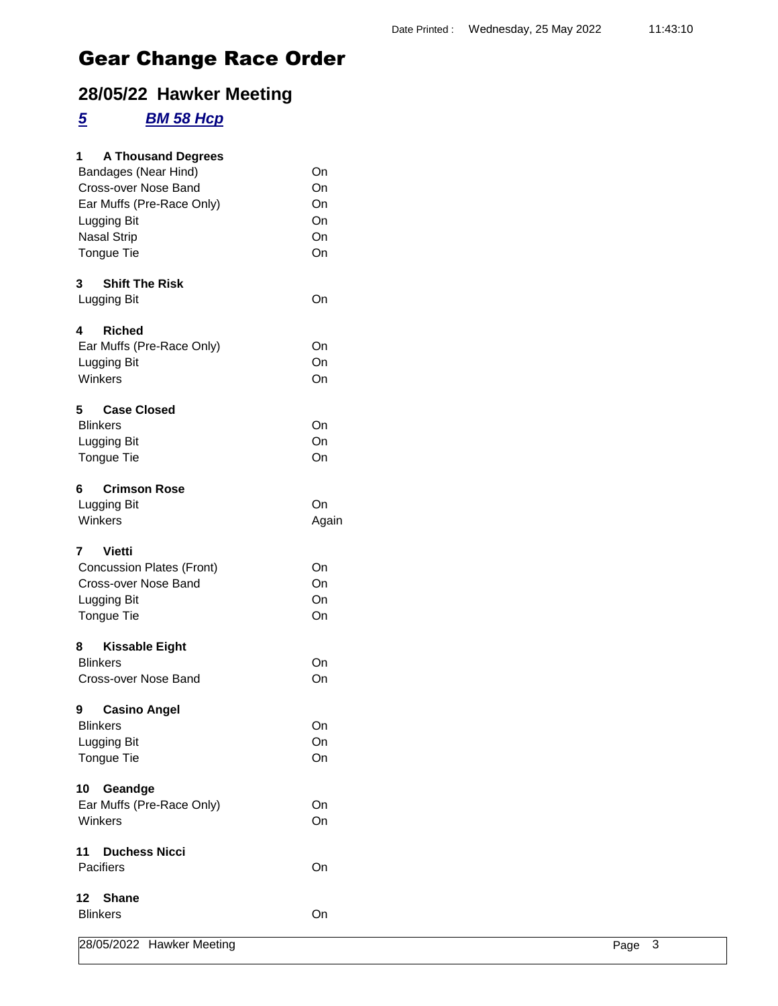### **28/05/22 Hawker Meeting**

#### *5 BM 58 Hcp*

| 28/05/2022 Hawker Meeting                     |          | Page 3 |
|-----------------------------------------------|----------|--------|
| <b>Blinkers</b>                               | On       |        |
| <b>Shane</b><br>12 <sup>12</sup>              |          |        |
| Pacifiers                                     | On       |        |
| <b>Duchess Nicci</b><br>11                    |          |        |
| Winkers                                       | On       |        |
| Ear Muffs (Pre-Race Only)                     | On       |        |
| 10 Geandge                                    |          |        |
| Tongue Tie                                    | On       |        |
| Lugging Bit                                   | On       |        |
| <b>Blinkers</b>                               | On       |        |
| 9<br><b>Casino Angel</b>                      |          |        |
|                                               |          |        |
| Cross-over Nose Band                          | On       |        |
| 8<br><b>Kissable Eight</b><br><b>Blinkers</b> | On       |        |
|                                               |          |        |
| Tongue Tie                                    | On       |        |
| Lugging Bit                                   | On       |        |
| Cross-over Nose Band                          | On       |        |
| <b>Concussion Plates (Front)</b>              | On       |        |
| $\overline{7}$<br><b>Vietti</b>               |          |        |
| Winkers                                       | Again    |        |
| Lugging Bit                                   | On       |        |
| <b>Crimson Rose</b><br>6                      |          |        |
|                                               |          |        |
| Tongue Tie                                    | On       |        |
| Lugging Bit                                   | On       |        |
| <b>Case Closed</b><br>5<br><b>Blinkers</b>    | On       |        |
|                                               |          |        |
| Winkers                                       | On       |        |
| Lugging Bit                                   | On       |        |
| Ear Muffs (Pre-Race Only)                     | On       |        |
| <b>Riched</b><br>4                            |          |        |
| Lugging Bit                                   | On       |        |
| <b>Shift The Risk</b><br>3                    |          |        |
|                                               |          |        |
| Tongue Tie                                    | On       |        |
| <b>Nasal Strip</b>                            | On       |        |
| Ear Muffs (Pre-Race Only)<br>Lugging Bit      | On<br>On |        |
| Cross-over Nose Band                          | On       |        |
| Bandages (Near Hind)                          | On       |        |
| 1<br><b>A Thousand Degrees</b>                |          |        |
|                                               |          |        |